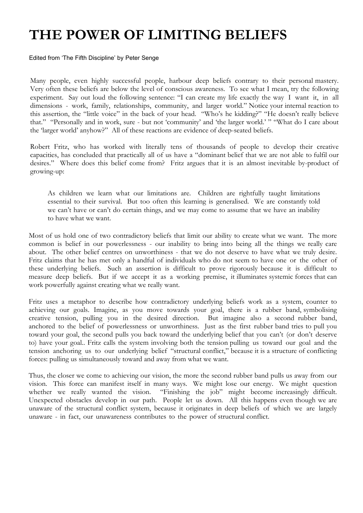## **THE POWER OF LIMITING BELIEFS**

Edited from 'The Fifth Discipline' by Peter Senge

Many people, even highly successful people, harbour deep beliefs contrary to their personal mastery. Very often these beliefs are below the level of conscious awareness. To see what I mean, try the following experiment. Say out loud the following sentence: "I can create my life exactly the way I want it, in all dimensions - work, family, relationships, community, and larger world." Notice your internal reaction to this assertion, the "little voice" in the back of your head. "Who's he kidding?" "He doesn't really believe that." "Personally and in work, sure - but not 'community' and 'the larger world.' " "What do I care about the 'larger world' anyhow?" All of these reactions are evidence of deep-seated beliefs.

Robert Fritz, who has worked with literally tens of thousands of people to develop their creative capacities, has concluded that practically all of us have a "dominant belief that we are not able to fulfil our desires." Where does this belief come from? Fritz argues that it is an almost inevitable by-product of growing-up:

As children we learn what our limitations are. Children are rightfully taught limitations essential to their survival. But too often this learning is generalised. We are constantly told we can't have or can't do certain things, and we may come to assume that we have an inability to have what we want.

Most of us hold one of two contradictory beliefs that limit our ability to create what we want. The more common is belief in our powerlessness - our inability to bring into being all the things we really care about. The other belief centres on unworthiness - that we do not deserve to have what we truly desire. Fritz claims that he has met only a handful of individuals who do not seem to have one or the other of these underlying beliefs. Such an assertion is difficult to prove rigorously because it is difficult to measure deep beliefs. But if we accept it as a working premise, it illuminates systemic forces that can work powerfully against creating what we really want.

Fritz uses a metaphor to describe how contradictory underlying beliefs work as a system, counter to achieving our goals. Imagine, as you move towards your goal, there is a rubber band, symbolising creative tension, pulling you in the desired direction. But imagine also a second rubber band, anchored to the belief of powerlessness or unworthiness. Just as the first rubber band tries to pull you toward your goal, the second pulls you back toward the underlying belief that you can't (or don't deserve to) have your goal.. Fritz calls the system involving both the tension pulling us toward our goal and the tension anchoring us to our underlying belief "structural conflict," because it is a structure of conflicting forces: pulling us simultaneously toward and away from what we want.

Thus, the closer we come to achieving our vision, the more the second rubber band pulls us away from our vision. This force can manifest itself in many ways. We might lose our energy. We might question whether we really wanted the vision. "Finishing the job" might become increasingly difficult. Unexpected obstacles develop in our path. People let us down. All this happens even though we are unaware of the structural conflict system, because it originates in deep beliefs of which we are largely unaware - in fact, our unawareness contributes to the power of structural conflict.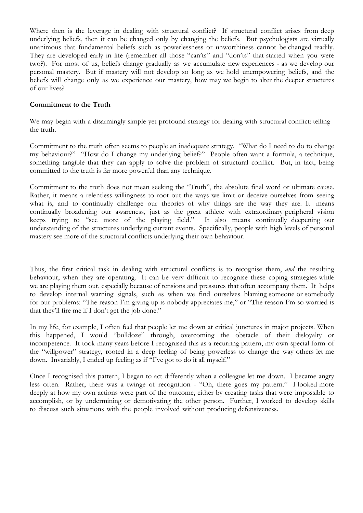Where then is the leverage in dealing with structural conflict? If structural conflict arises from deep underlying beliefs, then it can be changed only by changing the beliefs. But psychologists are virtually unanimous that fundamental beliefs such as powerlessness or unworthiness cannot be changed readily. They are developed early in life (remember all those "can'ts" and "don'ts" that started when you were two?). For most of us, beliefs change gradually as we accumulate new experiences - as we develop our personal mastery. But if mastery will not develop so long as we hold unempowering beliefs, and the beliefs will change only as we experience our mastery, how may we begin to alter the deeper structures of our lives?

## **Commitment to the Truth**

We may begin with a disarmingly simple yet profound strategy for dealing with structural conflict: telling the truth.

Commitment to the truth often seems to people an inadequate strategy. "What do I need to do to change my behaviour?" "How do I change my underlying belief?" People often want a formula, a technique, something tangible that they can apply to solve the problem of structural conflict. But, in fact, being committed to the truth is far more powerful than any technique.

Commitment to the truth does not mean seeking the "Truth", the absolute final word or ultimate cause. Rather, it means a relentless willingness to root out the ways we limit or deceive ourselves from seeing what is, and to continually challenge our theories of why things are the way they are. It means continually broadening our awareness, just as the great athlete with extraordinary peripheral vision keeps trying to "see more of the playing field." It also means continually deepening our understanding of the structures underlying current events. Specifically, people with high levels of personal mastery see more of the structural conflicts underlying their own behaviour.

Thus, the first critical task in dealing with structural conflicts is to recognise them, *and* the resulting behaviour, when they are operating. It can be very difficult to recognise these coping strategies while we are playing them out, especially because of tensions and pressures that often accompany them. It helps to develop internal warning signals, such as when we find ourselves blaming someone or somebody for our problems: "The reason I'm giving up is nobody appreciates me," or "The reason I'm so worried is that they'll fire me if I don't get the job done."

In my life, for example, I often feel that people let me down at critical junctures in major projects. When this happened, I would "bulldoze" through, overcoming the obstacle of their disloyalty or incompetence. It took many years before I recognised this as a recurring pattern, my own special form of the "willpower" strategy, rooted in a deep feeling of being powerless to change the way others let me down. Invariably, I ended up feeling as if "I've got to do it all myself."

Once I recognised this pattern, I began to act differently when a colleague let me down. I became angry less often. Rather, there was a twinge of recognition - "Oh, there goes my pattern." I looked more deeply at how my own actions were part of the outcome, either by creating tasks that were impossible to accomplish, or by undermining or demotivating the other person. Further, I worked to develop skills to discuss such situations with the people involved without producing defensiveness.